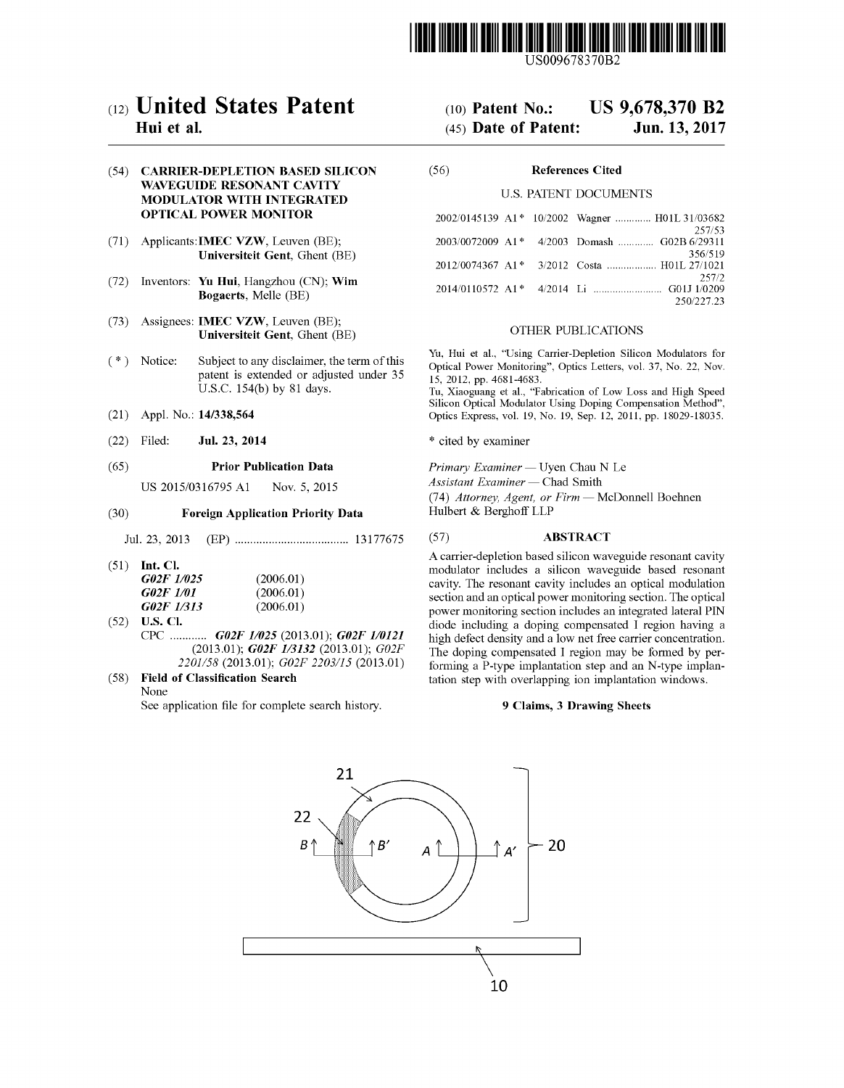

US009678370B2

# (12) United States Patent

# Hui et al.

## (54) CARRIER-DEPLETION BASED SILICON WAVEGUIDE RESONANT CAVITY MODULATOR WITH INTEGRATED OPTICAL POWER MONITOR

- (71) Applicants:IMEC VZW, Leuven (BE); Universiteit Gent, Ghent (BE)
- (72) Inventors: Yu Hui, Hangzhou (CN); Wim Bogaerts, Melle (BE)
- (73) Assignees: IMEC VZW, Leuven (BE); Universiteit Gent, Ghent (BE)
- (\*) Notice: Subject to any disclaimer, the term of this patent is extended or adjusted under 35 U.S.C. 154(b) by 81 days.
- (21) Appl. No.: 14/338,564
- (22) Filed: Jul. 23, 2014

#### (65) Prior Publication Data

US 2015/03 16795 Al Nov. 5, 2015

## (30) Foreign Application Priority Data

Jul. 23, 2013 (EP) ..................................... 13177675

(51) Int. Cl.

| <i>G02F 1/025</i> | (2006.01) |
|-------------------|-----------|
| <i>G02F 1/01</i>  | (2006.01) |
| G02F 1/313        | (2006.01) |

- (52) U.S. Cl. CPC ............G02F 1/025 (2013.01); G02F 1/0121 (2013.01); G02F 1/3132 (2013.01); GO2F 2201/58 (2013.01); G02F 2203/15 (2013.01)
- (58) Field of Classification Search None

See application file for complete search history.

# (10) Patent No.: US 9,678,370 B2

# (45) Date of Patent: Jun. 13, 2017

| (56)<br><b>References Cited</b> |
|---------------------------------|
|---------------------------------|

#### U.S. PATENT DOCUMENTS

|  | 2002/0145139 A1* 10/2002 Wagner  H01L 31/03682         |
|--|--------------------------------------------------------|
|  | 257/53<br>2003/0072009 A1* 4/2003 Domash  G02B 6/29311 |
|  | 356/519                                                |
|  | 2012/0074367 A1* 3/2012 Costa  H01L 27/1021<br>2.57/2  |
|  |                                                        |
|  | 250/227.23                                             |

#### OTHER PUBLICATIONS

Yu, Hui et al., "Using Carrier-Depletion Silicon Modulators for Optical Power Monitoring", Optics Letters, vol. 37, No. 22, Nov. 15, 2012, pp. 4681-4683.

Tu, Xiaoguang et al., "Fabrication of Low Loss and High Speed Silicon Optical Modulator Using Doping Compensation Method", Optics Express, vol. 19, No. 19, Sep. 12, 2011, pp. 18029-18035.

\* cited by examiner

Primary Examiner - Uyen Chau N Le

Assistant Examiner - Chad Smith

(74) Attorney, Agent, or  $Firm$  - McDonnell Boehnen Hulbert & Berghoff LLP

#### (57) ABSTRACT

Acarrier-depletion based silicon waveguide resonant cavity modulator includes a silicon waveguide based resonant cavity. The resonant cavity includes an optical modulation section and an optical power monitoring section. The optical power monitoring section includes an integrated lateral PIN diode including a doping compensated I region having a high defect density and a low net free carrier concentration. The doping compensated I region may be formed by performing a P-type implantation step and an N-type implantation step with overlapping ion implantation windows.

#### 9 Claims, 3 Drawing Sheets

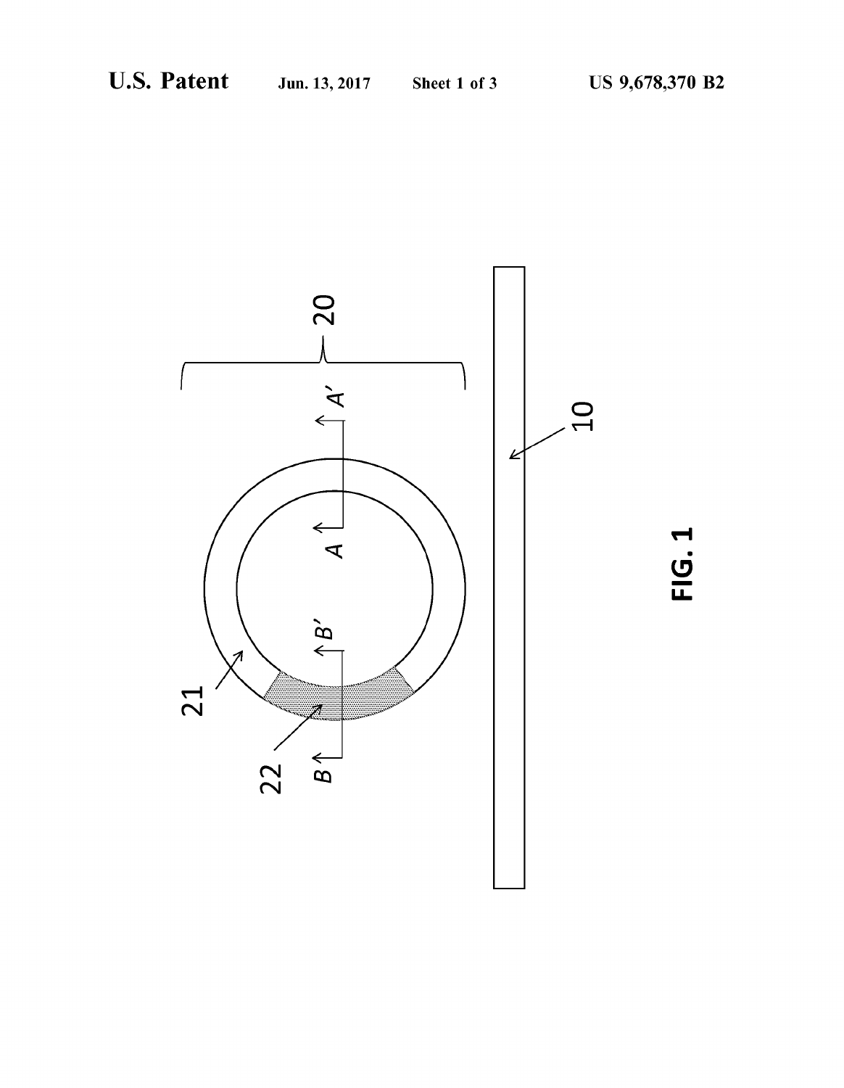FIG. 1

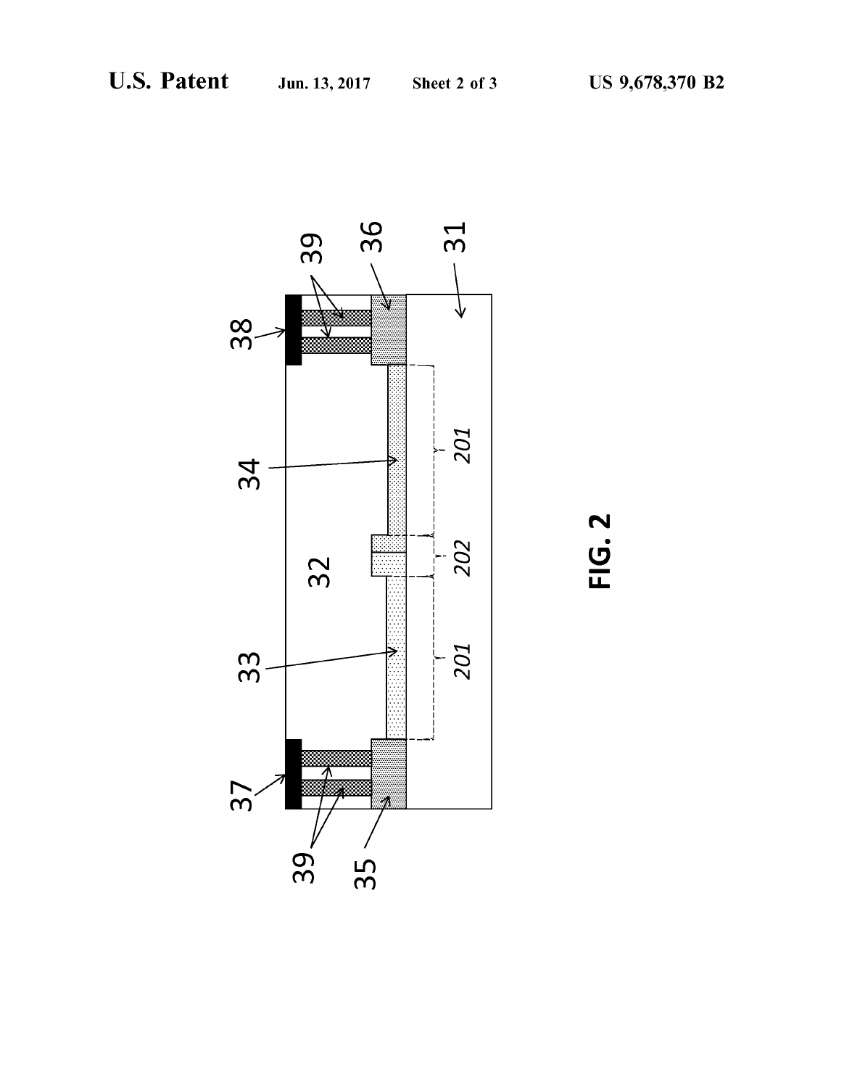

N  $\underline{\mathbf{C}}$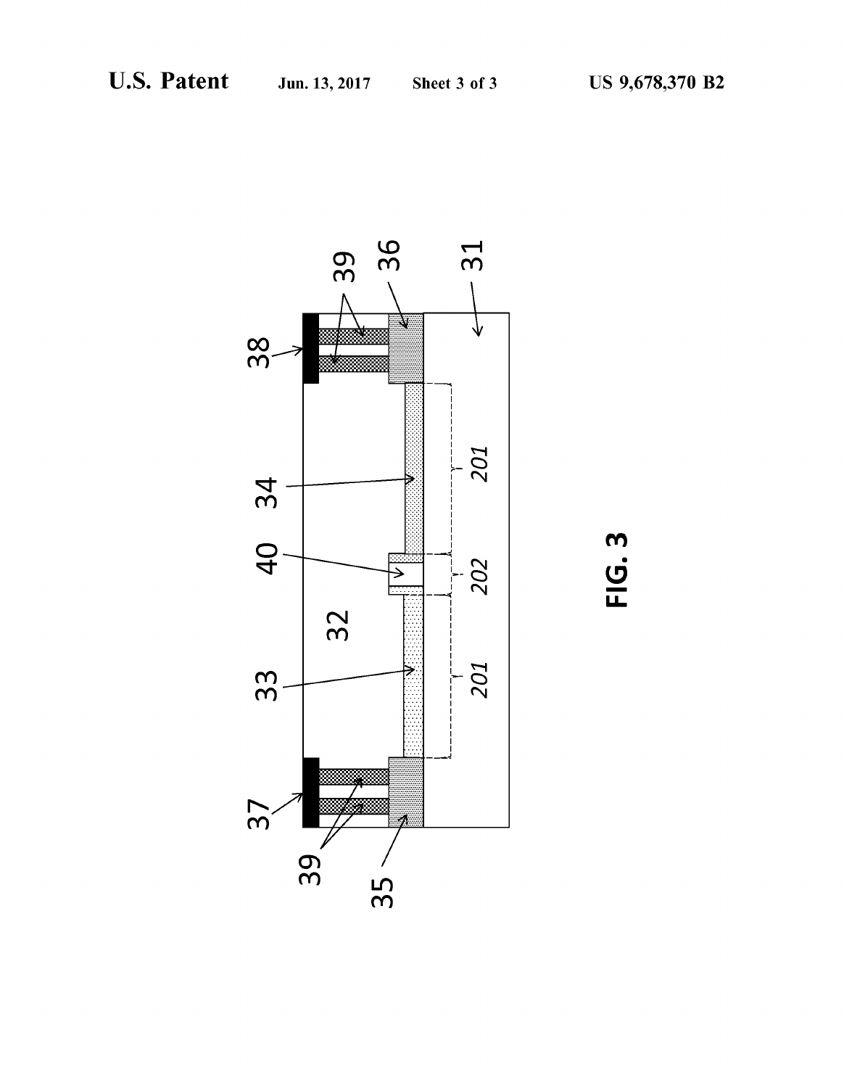

m  $\underline{\mathbf{C}}$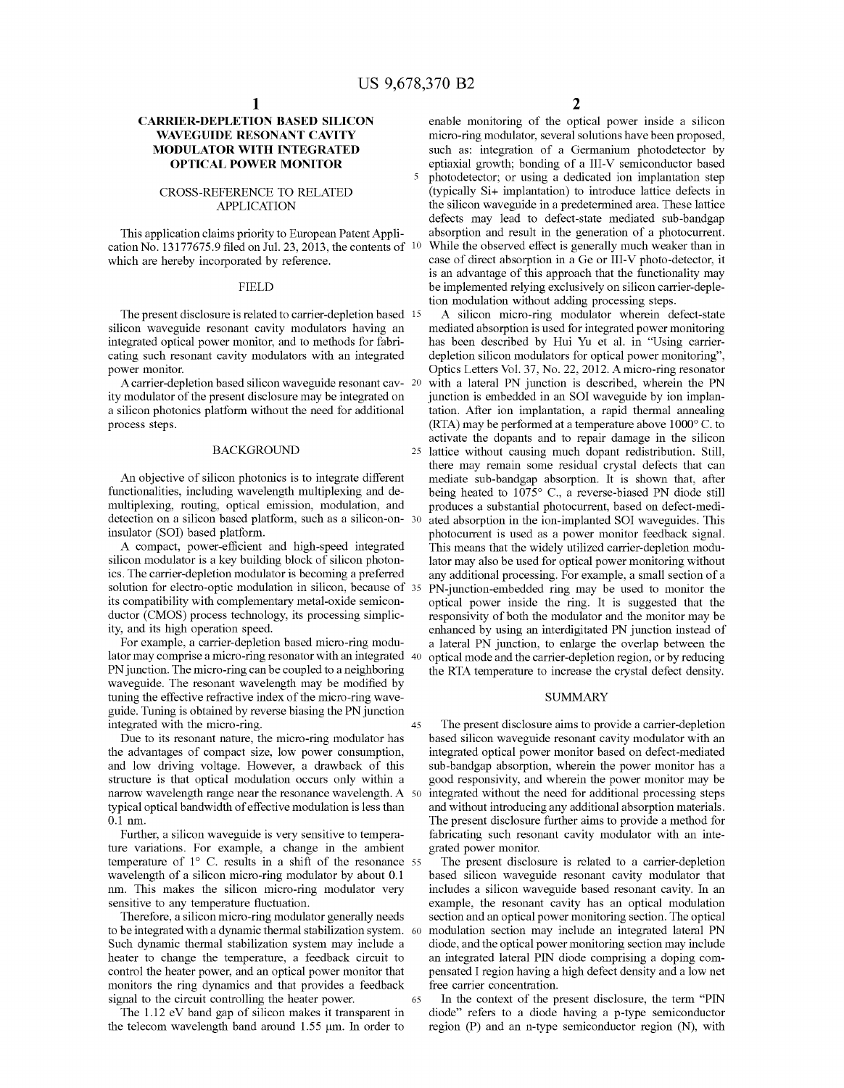$\overline{\mathbf{S}}$ 

## CARRIER-DEPLETION BASED SILICON WAVEGUIDE RESONANT CAVITY MODULATOR WITH INTEGRATED OPTICAL POWER MONITOR

#### CROSS-REFERENCE TO RELATED APPLICATION

This application claims priority to European Patent Application No. 13177675.9 filed on Jul. 23, 2013, the contents of 10 which are hereby incorporated by reference.

#### FIELD

The present disclosure is related to carrier-depletion based <sup>15</sup> silicon waveguide resonant cavity modulators having an integrated optical power monitor, and to methods for fabricating such resonant cavity modulators with an integrated power monitor.

Acarrier-depletion based silicon waveguide resonant cay- <sup>20</sup> ity modulator of the present disclosure may be integrated on a silicon photonics platform without the need for additional process steps.

#### **BACKGROUND**

An objective of silicon photonics is to integrate different functionalities, including wavelength multiplexing and demultiplexing, routing, optical emission, modulation, and detection on a silicon based platform, such as a silicon-on- 30 insulator (SOI) based platform.

A compact, power-efficient and high-speed integrated silicon modulator is a key building block of silicon photonics. The carrier-depletion modulator is becoming a preferred solution for electro-optic modulation in silicon, because of 35 its compatibility with complementary metal-oxide semiconductor (CMOS) process technology, its processing simplicity, and its high operation speed.

For example, a carrier-depletion based micro-ring modulator may comprise a micro-ring resonator with an integrated 40 PN junction. The micro-ring can be coupled to a neighboring waveguide. The resonant wavelength may be modified by tuning the effective refractive index of the micro-ring waveguide. Tuning is obtained by reverse biasing the PN junction integrated with the micro-ring. 45

Due to its resonant nature, the micro-ring modulator has the advantages of compact size, low power consumption, and low driving voltage. However, a drawback of this structure is that optical modulation occurs only within a narrow wavelength range near the resonance wavelength. A <sup>50</sup> typical optical bandwidth of effective modulation is less than 0.1 nm.

Further, a silicon waveguide is very sensitive to temperature variations. For example, a change in the ambient temperature of 1° C. results in a shift of the resonance 55 wavelength of a silicon micro-ring modulator by about 0.1 nm. This makes the silicon micro-ring modulator very sensitive to any temperature fluctuation.

Therefore, a silicon micro-ring modulator generally needs to be integrated with a dynamic thermal stabilization system. 60 Such dynamic thermal stabilization system may include a heater to change the temperature, a feedback circuit to control the heater power, and an optical power monitor that monitors the ring dynamics and that provides a feedback signal to the circuit controlling the heater power. 65

The 1.12 eV band gap of silicon makes it transparent in the telecom wavelength band around  $1.55 \mu m$ . In order to 2

enable monitoring of the optical power inside a silicon micro-ring modulator, several solutions have been proposed, such as: integration of a Germanium photodetector by eptiaxial growth; bonding of a Ill-V semiconductor based photodetector; or using a dedicated ion implantation step (typically Si+ implantation) to introduce lattice defects in the silicon waveguide in a predetermined area. These lattice defects may lead to defect-state mediated sub-bandgap absorption and result in the generation of a photocurrent. While the observed effect is generally much weaker than in case of direct absorption in a Ge or Ill-V photo-detector, it is an advantage of this approach that the functionality may be implemented relying exclusively on silicon carrier-depletion modulation without adding processing steps.

A silicon micro-ring modulator wherein defect-state mediated absorption is used for integrated power monitoring has been described by Hui Yu et al. in "Using carrierdepletion silicon modulators for optical power monitoring", Optics Letters Vol. 37, No. 22, 2012. A micro-ring resonator with a lateral PN junction is described, wherein the PN junction is embedded in an SOI waveguide by ion implantation. After ion implantation, a rapid thermal annealing (RTA) may be performed at a temperature above 1000° C. to activate the dopants and to repair damage in the silicon 25 lattice without causing much dopant redistribution. Still, there may remain some residual crystal defects that can mediate sub-bandgap absorption. It is shown that, after being heated to  $1075^{\circ}$  C., a reverse-biased PN diode still produces a substantial photocurrent, based on defect-mediated absorption in the ion-implanted SOI waveguides. This photocurrent is used as a power monitor feedback signal. This means that the widely utilized carrier-depletion modulator may also be used for optical power monitoring without any additional processing. For example, a small section of a PN-junction-embedded ring may be used to monitor the optical power inside the ring. It is suggested that the responsivity of both the modulator and the monitor may be enhanced by using an interdigitated PN junction instead of a lateral PN junction, to enlarge the overlap between the optical mode and the carrier-depletion region, or by reducing the RTA temperature to increase the crystal defect density.

#### **SUMMARY**

The present disclosure aims to provide a carrier-depletion based silicon waveguide resonant cavity modulator with an integrated optical power monitor based on defect-mediated sub-bandgap absorption, wherein the power monitor has a good responsivity, and wherein the power monitor may be integrated without the need for additional processing steps and without introducing any additional absorption materials. The present disclosure further aims to provide a method for fabricating such resonant cavity modulator with an integrated power monitor.

The present disclosure is related to a carrier-depletion based silicon waveguide resonant cavity modulator that includes a silicon waveguide based resonant cavity. In an example, the resonant cavity has an optical modulation section and an optical power monitoring section. The optical modulation section may include an integrated lateral PN diode, and the optical power monitoring section may include an integrated lateral PIN diode comprising a doping compensated I region having a high defect density and a low net free carrier concentration.

In the context of the present disclosure, the term "PIN diode" refers to a diode having a p-type semiconductor region (P) and an n-type semiconductor region (N), with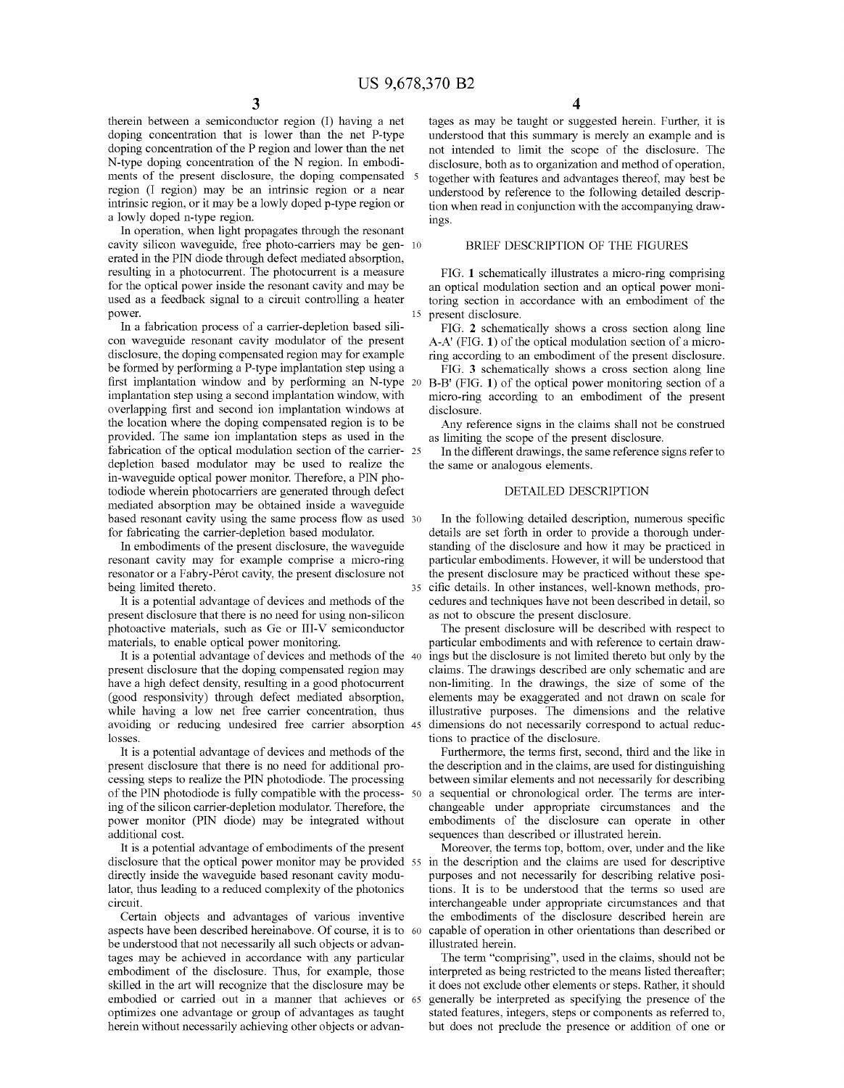therein between a semiconductor region (I) having a net doping concentration that is lower than the net P-type doping concentration of the P region and lower than the net N-type doping concentration of the N region. In embodiments of the present disclosure, the doping compensated region (I region) may be an intrinsic region or a near intrinsic region, or it may be a lowly doped p-type region or a lowly doped n-type region.

In operation, when light propagates through the resonant cavity silicon waveguide, free photo-carriers may be generated in the PIN diode through defect mediated absorption, resulting in a photocurrent. The photocurrent is a measure for the optical power inside the resonant cavity and may be used as a feedback signal to a circuit controlling a heater power.

In a fabrication process of a carrier-depletion based silicon waveguide resonant cavity modulator of the present disclosure, the doping compensated region may for example be formed by performing a P-type implantation step using a first implantation window and by performing an N-type 20 B-B' (FIG. 1) of the optical power monitoring section of a implantation step using a second implantation window, with overlapping first and second ion implantation windows at the location where the doping compensated region is to be provided. The same ion implantation steps as used in the fabrication of the optical modulation section of the carrier- 25 depletion based modulator may be used to realize the in-waveguide optical power monitor. Therefore, a PIN photodiode wherein photocarriers are generated through defect mediated absorption may be obtained inside a waveguide based resonant cavity using the same process flow as used for fabricating the carrier-depletion based modulator.

In embodiments of the present disclosure, the waveguide resonant cavity may for example comprise a micro-ring resonator or a Fabry-Pérot cavity, the present disclosure not being limited thereto.

It is a potential advantage of devices and methods of the present disclosure that there is no need for using non-silicon photoactive materials, such as Ge or Ill-V semiconductor materials, to enable optical power monitoring.

It is a potential advantage of devices and methods of the present disclosure that the doping compensated region may have a high defect density, resulting in a good photocurrent (good responsivity) through defect mediated absorption, while having a low net free carrier concentration, thus avoiding or reducing undesired free carrier absorption 45 losses.

It is a potential advantage of devices and methods of the present disclosure that there is no need for additional processing steps to realize the PIN photodiode. The processing of the PIN photodiode is fully compatible with the processing of the silicon carrier-depletion modulator. Therefore, the power monitor (PIN diode) may be integrated without additional cost.

It is a potential advantage of embodiments of the present disclosure that the optical power monitor may be provided 55 in the description and the claims are used for descriptive directly inside the waveguide based resonant cavity modulator, thus leading to a reduced complexity of the photonics circuit.

Certain objects and advantages of various inventive aspects have been described hereinabove, Of course, it is to be understood that not necessarily all such objects or advantages may be achieved in accordance with any particular embodiment of the disclosure. Thus, for example, those skilled in the art will recognize that the disclosure may be embodied or carried out in a manner that achieves or optimizes one advantage or group of advantages as taught herein without necessarily achieving other objects or advan-

tages as may be taught or suggested herein. Further, it is understood that this summary is merely an example and is not intended to limit the scope of the disclosure. The disclosure, both as to organization and method of operation, 5 together with features and advantages thereof, may best be understood by reference to the following detailed description when read in conjunction with the accompanying drawings.

#### BRIEF DESCRIPTION OF THE FIGURES

FIG. 1 schematically illustrates a micro-ring comprising an optical modulation section and an optical power monitoring section in accordance with an embodiment of the present disclosure.

FIG. 2 schematically shows a cross section along line A-A' (FIG. 1) of the optical modulation section of a microring according to an embodiment of the present disclosure.

FIG. 3 schematically shows a cross section along line micro-ring according to an embodiment of the present disclosure.

Any reference signs in the claims shall not be construed as limiting the scope of the present disclosure.

In the different drawings, the same reference signs refer to the same or analogous elements.

#### DETAILED DESCRIPTION

In the following detailed description, numerous specific details are set forth in order to provide a thorough understanding of the disclosure and how it may be practiced in particular embodiments. However, it will be understood that the present disclosure may be practiced without these spe-35 cific details. In other instances, well-known methods, procedures and techniques have not been described in detail, so as not to obscure the present disclosure.

The present disclosure will be described with respect to particular embodiments and with reference to certain drawings but the disclosure is not limited thereto but only by the claims. The drawings described are only schematic and are non-limiting. In the drawings, the size of some of the elements may be exaggerated and not drawn on scale for illustrative purposes. The dimensions and the relative dimensions do not necessarily correspond to actual reductions to practice of the disclosure.

Furthermore, the terms first, second, third and the like in the description and in the claims, are used for distinguishing between similar elements and not necessarily for describing a sequential or chronological order. The terms are interchangeable under appropriate circumstances and the embodiments of the disclosure can operate in other sequences than described or illustrated herein.

Moreover, the terms top, bottom, over, under and the like purposes and not necessarily for describing relative positions. It is to be understood that the terms so used are interchangeable under appropriate circumstances and that the embodiments of the disclosure described herein are capable of operation in other orientations than described or illustrated herein.

The term "comprising", used in the claims, should not be interpreted as being restricted to the means listed thereafter; it does not exclude other elements or steps. Rather, it should generally be interpreted as specifying the presence of the stated features, integers, steps or components as referred to, but does not preclude the presence or addition of one or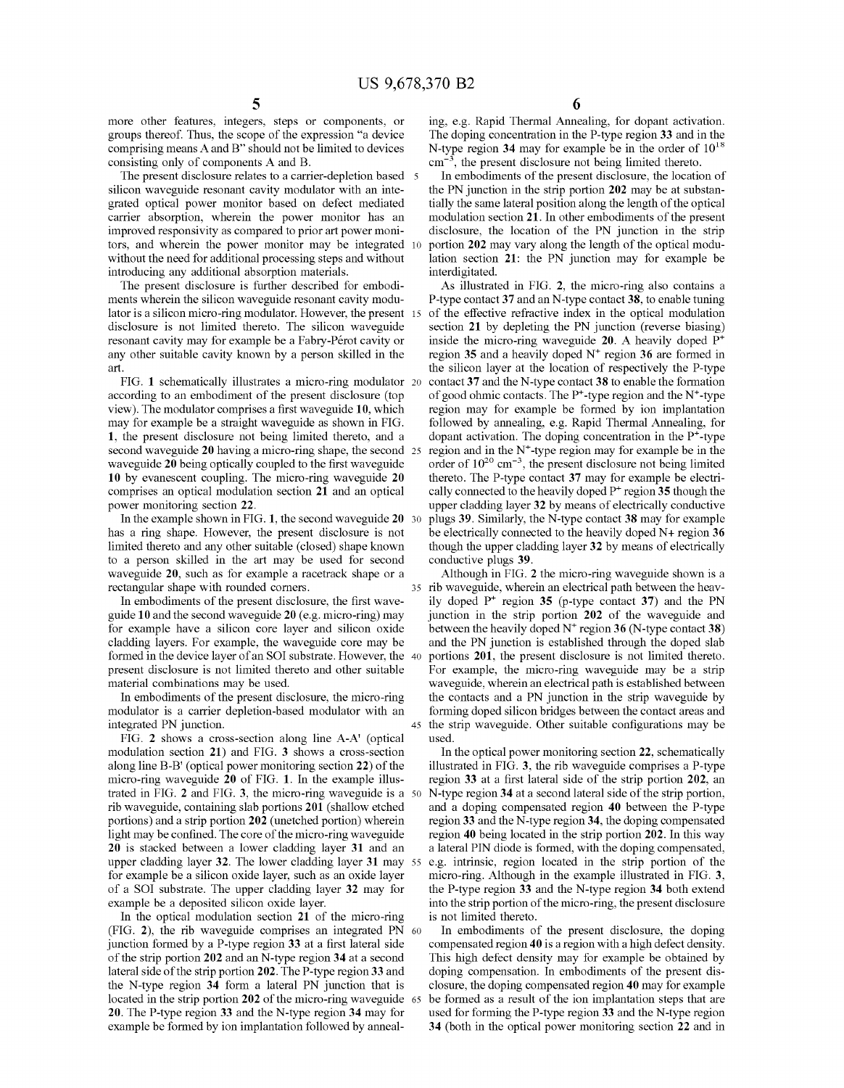more other features, integers, steps or components, or groups thereof. Thus, the scope of the expression "a device comprising means A and B" should not be limited to devices consisting only of components A and B.

The present disclosure relates to a carrier-depletion based 5 silicon waveguide resonant cavity modulator with an integrated optical power monitor based on defect mediated carrier absorption, wherein the power monitor has an improved responsivity as compared to prior art power monitors, and wherein the power monitor may be integrated without the need for additional processing steps and without introducing any additional absorption materials.

The present disclosure is further described for embodiments wherein the silicon waveguide resonant cavity modulator is a silicon micro-ring modulator. However, the present 15 disclosure is not limited thereto. The silicon waveguide resonant cavity may for example be a Fabry-Pérot cavity or any other suitable cavity known by a person skilled in the art.

FIG. 1 schematically illustrates a micro-ring modulator according to an embodiment of the present disclosure (top view). The modulator comprises a first waveguide 10, which may for example be a straight waveguide as shown in FIG. 1, the present disclosure not being limited thereto, and a second waveguide 20 having a micro-ring shape, the second 25 waveguide 20 being optically coupled to the first waveguide 10 by evanescent coupling. The micro-ring waveguide 20 comprises an optical modulation section 21 and an optical power monitoring section 22.

In the example shown in FIG. 1, the second waveguide 20 30 has a ring shape. However, the present disclosure is not limited thereto and any other suitable (closed) shape known to a person skilled in the art may be used for second waveguide 20, such as for example a racetrack shape or a rectangular shape with rounded corners.

In embodiments of the present disclosure, the first waveguide 10 and the second waveguide 20 (e.g. micro-ring) may for example have a silicon core layer and silicon oxide cladding layers. For example, the waveguide core may be formed in the device layer of an SOI substrate. However, the 40 present disclosure is not limited thereto and other suitable material combinations may be used.

In embodiments of the present disclosure, the micro-ring modulator is a carrier depletion-based modulator with an integrated PN junction.

FIG. 2 shows a cross-section along line A-A' (optical modulation section 21) and FIG. 3 shows a cross-section along line B-B' (optical power monitoring section 22) of the micro-ring waveguide 20 of FIG. 1. In the example illustrated in FIG. 2 and FIG. 3, the micro-ring waveguide is a rib waveguide, containing slab portions 201 (shallow etched portions) and a strip portion 202 (unetched portion) wherein light may be confined. The core of the micro-ring waveguide 20 is stacked between a lower cladding layer 31 and an upper cladding layer 32. The lower cladding layer 31 may 55 for example be a silicon oxide layer, such as an oxide layer of a SQl substrate. The upper cladding layer 32 may for example be a deposited silicon oxide layer.

In the optical modulation section 21 of the micro-ring (FIG. 2), the rib waveguide comprises an integrated PN junction formed by a P-type region 33 at a first lateral side of the strip portion 202 and an N-type region 34 at a second lateral side of the strip portion 202. The P-type region 33 and the N-type region 34 form a lateral PN junction that is located in the strip portion 202 of the micro-ring waveguide 65 20. The P-type region 33 and the N-type region 34 may for example be formed by ion implantation followed by anneal-

ing, e.g. Rapid Thermal Annealing, for dopant activation. The doping concentration in the P-type region 33 and in the N-type region 34 may for example be in the order of  $10^{18}$  $\text{cm}^{-3}$ , the present disclosure not being limited thereto.

5 In embodiments of the present disclosure, the location of the PN junction in the strip portion 202 may be at substantially the same lateral position along the length of the optical modulation section 21. In other embodiments of the present disclosure, the location of the PN junction in the strip 10 portion 202 may vary along the length of the optical modulation section 21: the PN junction may for example be interdigitated.

As illustrated in FIG. 2, the micro-ring also contains a P-type contact 37 and an N-type contact 38, to enable tuning of the effective refractive index in the optical modulation section 21 by depleting the PN junction (reverse biasing) inside the micro-ring waveguide  $20$ . A heavily doped  $P^+$ region 35 and a heavily doped  $N^+$  region 36 are formed in the silicon layer at the location of respectively the P-type contact 37 and the N-type contact 38 to enable the formation of good ohmic contacts. The  $P^+$ -type region and the N<sup>+</sup>-type region may for example be formed by ion implantation followed by annealing, e.g. Rapid Thermal Annealing, for dopant activation. The doping concentration in the  $P^+$ -type region and in the  $N^{+}$ -type region may for example be in the order of  $10^{20}$  cm<sup>-3</sup>, the present disclosure not being limited thereto. The P-type contact 37 may for example be electrically connected to the heavily doped  $P^+$  region 35 though the upper cladding layer 32 by means of electrically conductive plugs 39. Similarly, the N-type contact 38 may for example be electrically connected to the heavily doped N+ region 36 though the upper cladding layer 32 by means of electrically conductive plugs 39.

Although in FIG. 2 the micro-ring waveguide shown is a 35 rib waveguide, wherein an electrical path between the heavily doped  $P^+$  region 35 (p-type contact 37) and the PN junction in the strip portion 202 of the waveguide and between the heavily doped  $N^+$  region 36 (N-type contact 38) and the PN junction is established through the doped slab portions 201, the present disclosure is not limited thereto. For example, the micro-ring waveguide may be a strip waveguide, wherein an electrical path is established between the contacts and a PN junction in the strip waveguide by forming doped silicon bridges between the contact areas and 45 the strip waveguide. Other suitable configurations may be used.

In the optical power monitoring section 22, schematically illustrated in FIG. 3, the rib waveguide comprises a P-type region 33 at a first lateral side of the strip portion 202, an N-type region 34 at a second lateral side of the strip portion, and a doping compensated region 40 between the P-type region 33 and the N-type region 34, the doping compensated region 40 being located in the strip portion 202. In this way a lateral PIN diode is formed, with the doping compensated, e.g. intrinsic, region located in the strip portion of the micro-ring. Although in the example illustrated in FIG. 3, the P-type region 33 and the N-type region 34 both extend into the strip portion of the micro-ring, the present disclosure is not limited thereto.

In embodiments of the present disclosure, the doping compensated region 40 is a region with a high defect density. This high defect density may for example be obtained by doping compensation. In embodiments of the present disclosure, the doping compensated region 40 may for example be formed as a result of the ion implantation steps that are used for forming the P-type region 33 and the N-type region 34 (both in the optical power monitoring section 22 and in